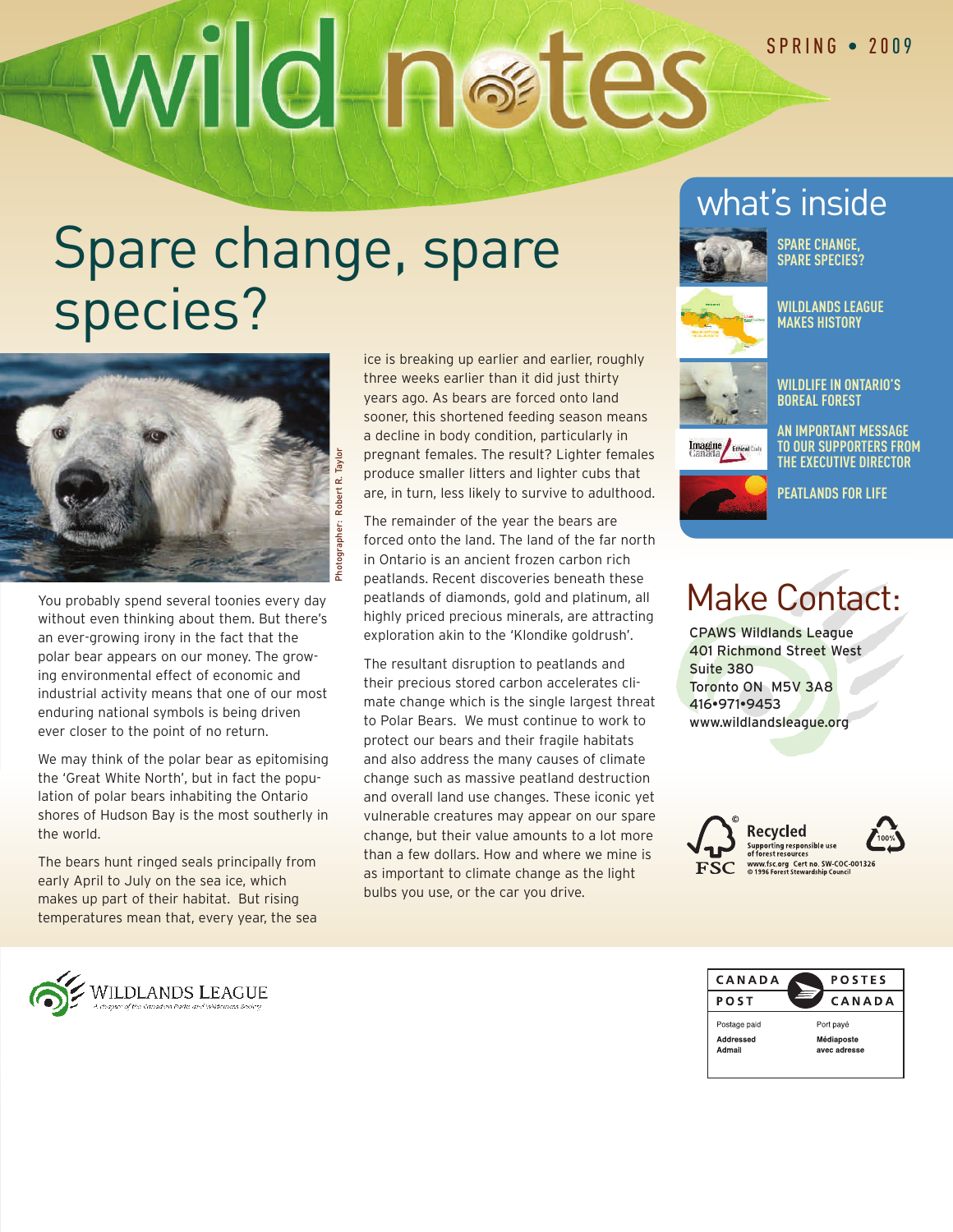# Wild **Restes**

## Spare change, spare species?



You probably spend several toonies every day without even thinking about them. But there's an ever-growing irony in the fact that the polar bear appears on our money. The growing environmental effect of economic and industrial activity means that one of our most enduring national symbols is being driven ever closer to the point of no return.

We may think of the polar bear as epitomising the 'Great White North', but in fact the population of polar bears inhabiting the Ontario shores of Hudson Bay is the most southerly in the world.

The bears hunt ringed seals principally from early April to July on the sea ice, which makes up part of their habitat. But rising temperatures mean that, every year, the sea ice is breaking up earlier and earlier, roughly three weeks earlier than it did just thirty years ago. As bears are forced onto land sooner, this shortened feeding season means a decline in body condition, particularly in pregnant females. The result? Lighter females produce smaller litters and lighter cubs that are, in turn, less likely to survive to adulthood.

The remainder of the year the bears are forced onto the land. The land of the far north in Ontario is an ancient frozen carbon rich peatlands. Recent discoveries beneath these peatlands of diamonds, gold and platinum, all highly priced precious minerals, are attracting exploration akin to the 'Klondike goldrush'.

The resultant disruption to peatlands and their precious stored carbon accelerates climate change which is the single largest threat to Polar Bears. We must continue to work to protect our bears and their fragile habitats and also address the many causes of climate change such as massive peatland destruction and overall land use changes. These iconic yet vulnerable creatures may appear on our spare change, but their value amounts to a lot more than a few dollars. How and where we mine is as important to climate change as the light bulbs you use, or the car you drive.

## what's inside



**SPARE CHANGE, SPARE SPECIES?**



**WILDLANDS LEAGUE MAKES HISTORY**



**WILDLIFEIN ONTARIO'S BOREAL FOREST**

**AN IMPORTANT MESSAGE TO OUR SUPPORTERS FROM THEEXECUTIVE DIRECTOR**



**PEATLANDS FOR LIFE**

## Make Contact:

CPAWS Wildlands League 401 Richmond Street West Suite 380 Toronto ON M5V 3A8 416•971•9453 www.wildlandsleague.org





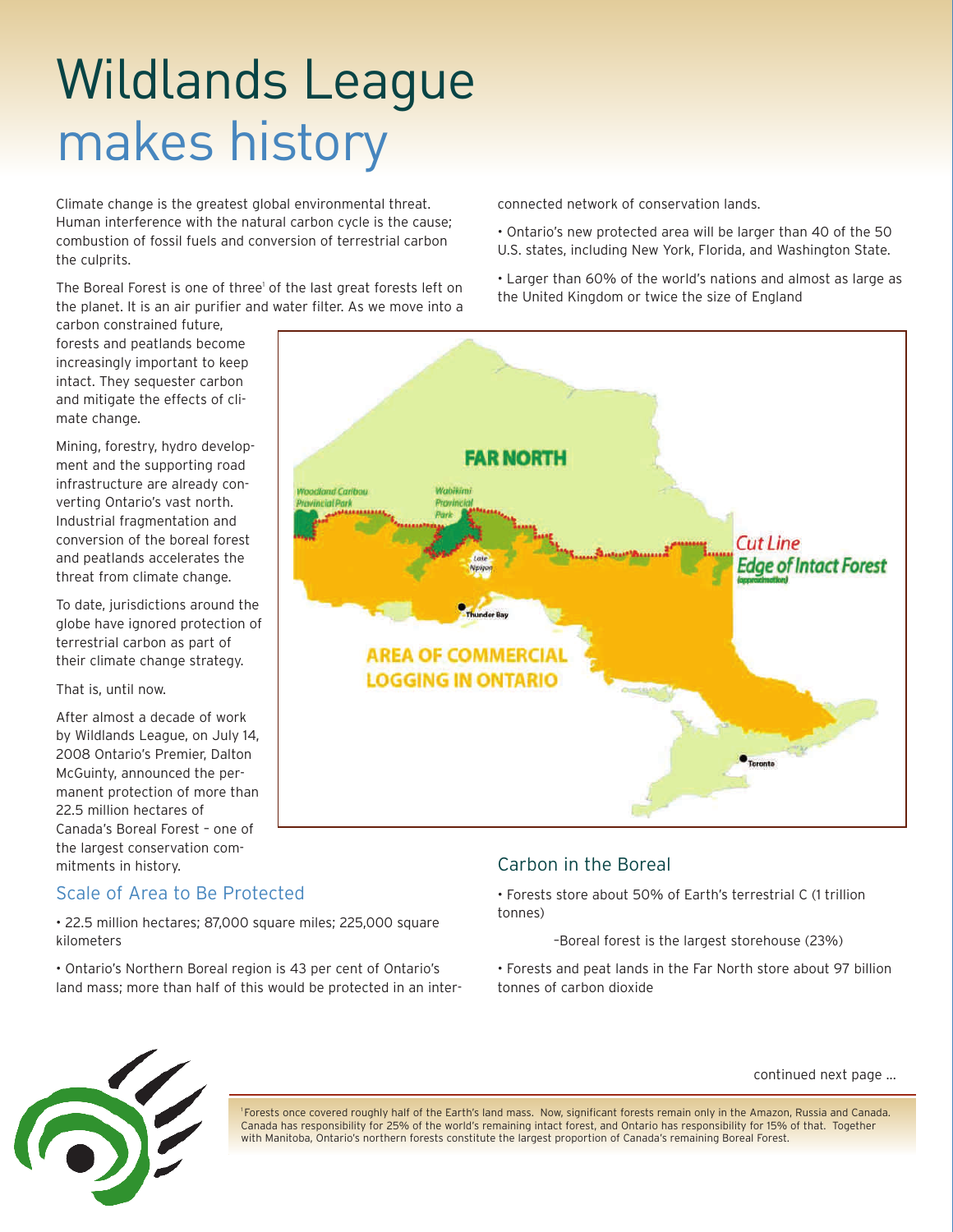# Wildlands League makes history

Climate change is the greatest global environmental threat. Human interference with the natural carbon cycle is the cause; combustion of fossil fuels and conversion of terrestrial carbon the culprits.

The Boreal Forest is one of three<sup>1</sup> of the last great forests left on the planet. It is an air purifier and water filter. As we move into a

carbon constrained future, forests and peatlands become increasingly important to keep intact. They sequester carbon and mitigate the effects of climate change.

Mining, forestry, hydro development and the supporting road infrastructure are already converting Ontario's vast north. Industrial fragmentation and conversion of the boreal forest and peatlands accelerates the threat from climate change.

To date, jurisdictions around the globe have ignored protection of terrestrial carbon as part of their climate change strategy.

That is, until now.

After almost a decade of work by Wildlands League, on July 14, 2008 Ontario's Premier, Dalton McGuinty, announced the permanent protection of more than 22.5 million hectares of Canada's Boreal Forest – one of the largest conservation commitments in history.

## Scale of Area to Be Protected

• 22.5 million hectares; 87,000 square miles; 225,000 square kilometers

• Ontario's Northern Boreal region is 43 per cent of Ontario's land mass; more than half of this would be protected in an interconnected network of conservation lands.

- Ontario's new protected area will be larger than 40 of the 50 U.S. states, including New York, Florida, and Washington State.
- Larger than 60% of the world's nations and almost as large as the United Kingdom or twice the size of England



## Carbon in the Boreal

• Forests store about 50% of Earth's terrestrial C (1 trillion tonnes)

–Boreal forest is the largest storehouse (23%)

• Forests and peat lands in the Far North store about 97 billion tonnes of carbon dioxide



1 Forests once covered roughly half of the Earth's land mass. Now, significant forests remain only in the Amazon, Russia and Canada. Canada has responsibility for 25% of the world's remaining intact forest, and Ontario has responsibility for 15% of that. Together with Manitoba, Ontario's northern forests constitute the largest proportion of Canada's remaining Boreal Forest.

## continued next page ...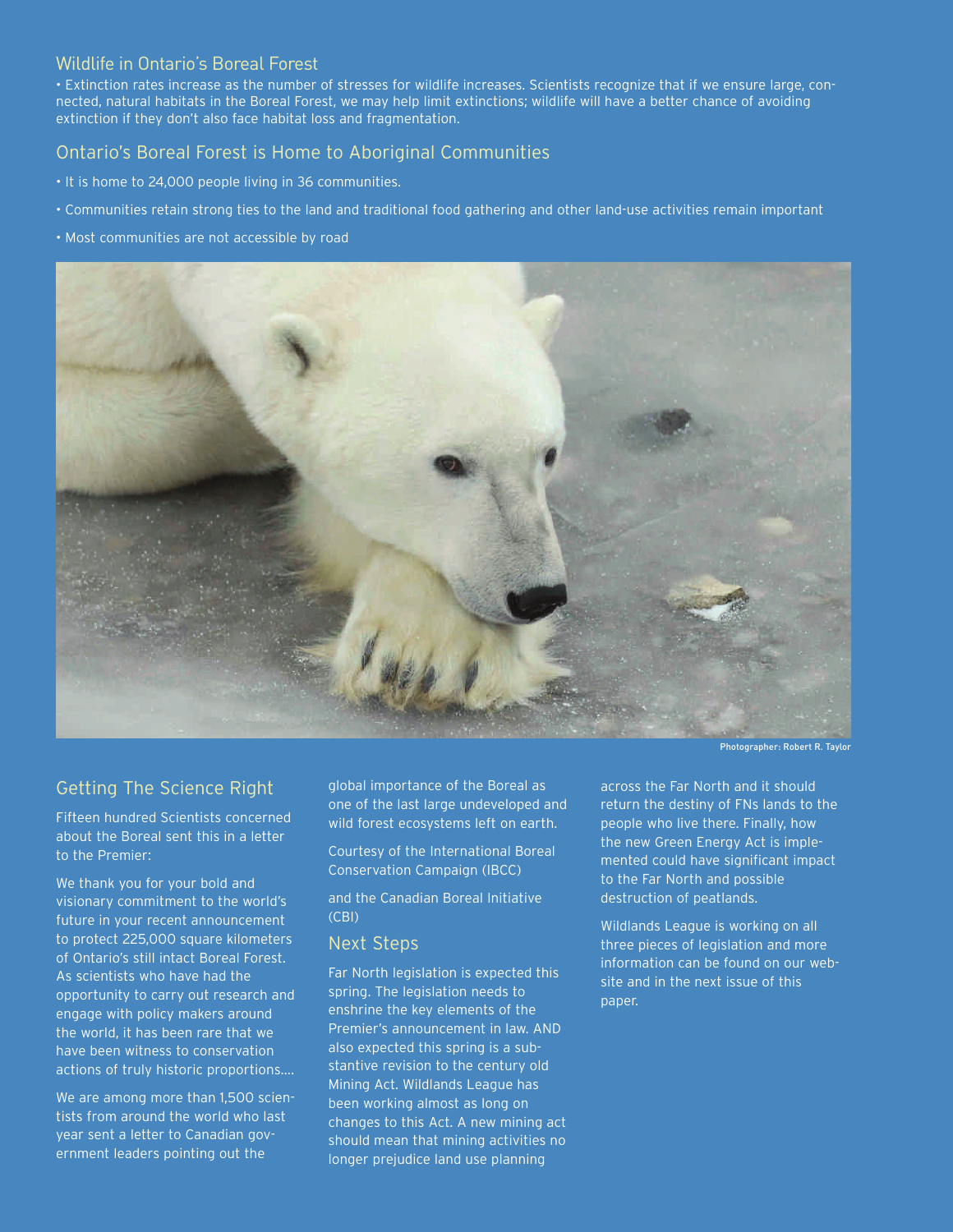### Wildlife in Ontario's Boreal Forest

• Extinction rates increase as the number of stresses for wildlife increases. Scientists recognize that if we ensure large, connected, natural habitats in the Boreal Forest, we may help limit extinctions; wildlife will have a better chance of avoiding extinction if they don't also face habitat loss and fragmentation.

### Ontario's Boreal Forest is Home to Aboriginal Communities

- It is home to 24,000 people living in 36 communities.
- Communities retain strong ties to the land and traditional food gathering and other land-use activities remain important
- Most communities are not accessible by road



## Getting The Science Right

Fifteen hundred Scientists concerned about the Boreal sent this in a letter to the Premier:

We thank you for your bold and visionary commitment to the world's future in your recent announcement to protect 225,000 square kilometers of Ontario's still intact Boreal Forest. As scientists who have had the opportunity to carry out research and engage with policy makers around the world, it has been rare that we have been witness to conservation actions of truly historic proportions….

We are among more than 1,500 scientists from around the world who last year sent a letter to Canadian government leaders pointing out the

global importance of the Boreal as one of the last large undeveloped and wild forest ecosystems left on earth.

Courtesy of the International Boreal Conservation Campaign (IBCC)

and the Canadian Boreal Initiative (CBI)

### Next Steps

Far North legislation is expected this spring. The legislation needs to enshrine the key elements of the Premier's announcement in law. AND also expected this spring is a substantive revision to the century old Mining Act. Wildlands League has been working almost as long on changes to this Act. A new mining act should mean that mining activities no longer prejudice land use planning

across the Far North and it should return the destiny of FNs lands to the people who live there. Finally, how the new Green Energy Act is implemented could have significant impact to the Far North and possible destruction of peatlands.

Wildlands League is working on all three pieces of legislation and more information can be found on our website and in the next issue of this paper.

Photographer: Robert R. Taylor